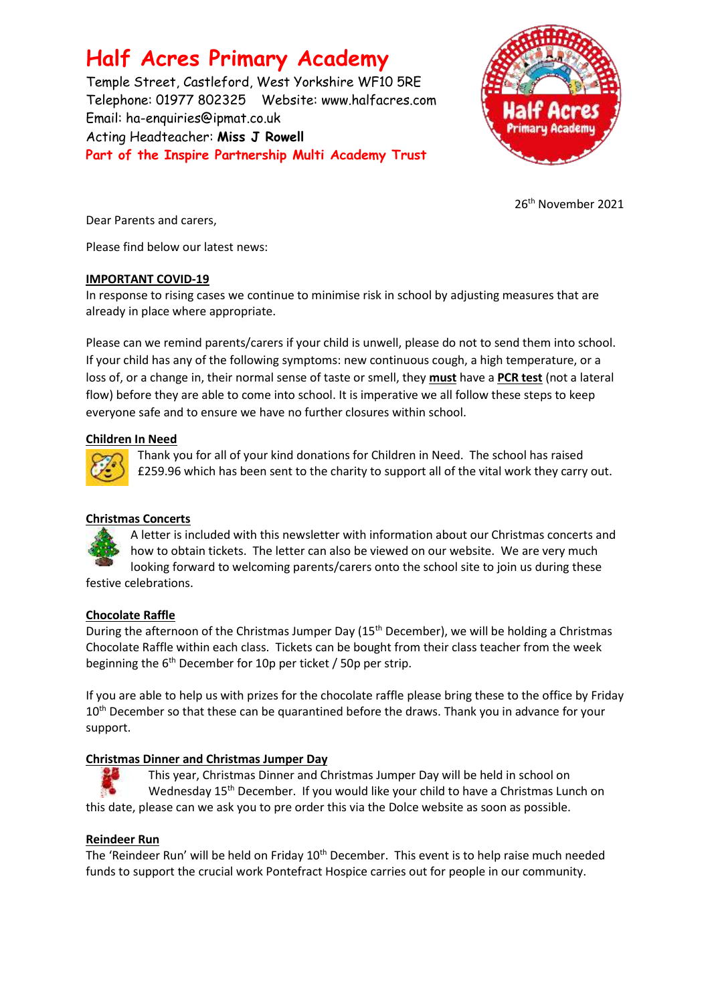# **Half Acres Primary Academy**

Temple Street, Castleford, West Yorkshire WF10 5RE Telephone: 01977 802325 Website: [www.halfacres.com](http://www.halfacres.com/) Email: ha-enquiries@ipmat.co.uk Acting Headteacher: **Miss J Rowell Part of the Inspire Partnership Multi Academy Trust**



26th November 2021

Dear Parents and carers,

Please find below our latest news:

#### **IMPORTANT COVID-19**

In response to rising cases we continue to minimise risk in school by adjusting measures that are already in place where appropriate.

Please can we remind parents/carers if your child is unwell, please do not to send them into school. If your child has any of the following symptoms: new continuous cough, a high temperature, or a loss of, or a change in, their normal sense of taste or smell, they **must** have a **PCR test** (not a lateral flow) before they are able to come into school. It is imperative we all follow these steps to keep everyone safe and to ensure we have no further closures within school.

#### **Children In Need**



Thank you for all of your kind donations for Children in Need. The school has raised £259.96 which has been sent to the charity to support all of the vital work they carry out.

## **Christmas Concerts**

A letter is included with this newsletter with information about our Christmas concerts and how to obtain tickets. The letter can also be viewed on our website. We are very much looking forward to welcoming parents/carers onto the school site to join us during these festive celebrations.

## **Chocolate Raffle**

During the afternoon of the Christmas Jumper Day (15<sup>th</sup> December), we will be holding a Christmas Chocolate Raffle within each class. Tickets can be bought from their class teacher from the week beginning the 6th December for 10p per ticket / 50p per strip.

If you are able to help us with prizes for the chocolate raffle please bring these to the office by Friday 10<sup>th</sup> December so that these can be quarantined before the draws. Thank you in advance for your support.

## **Christmas Dinner and Christmas Jumper Day**

This year, Christmas Dinner and Christmas Jumper Day will be held in school on Wednesday 15<sup>th</sup> December. If you would like your child to have a Christmas Lunch on this date, please can we ask you to pre order this via the Dolce website as soon as possible.

## **Reindeer Run**

The 'Reindeer Run' will be held on Friday 10<sup>th</sup> December. This event is to help raise much needed funds to support the crucial work Pontefract Hospice carries out for people in our community.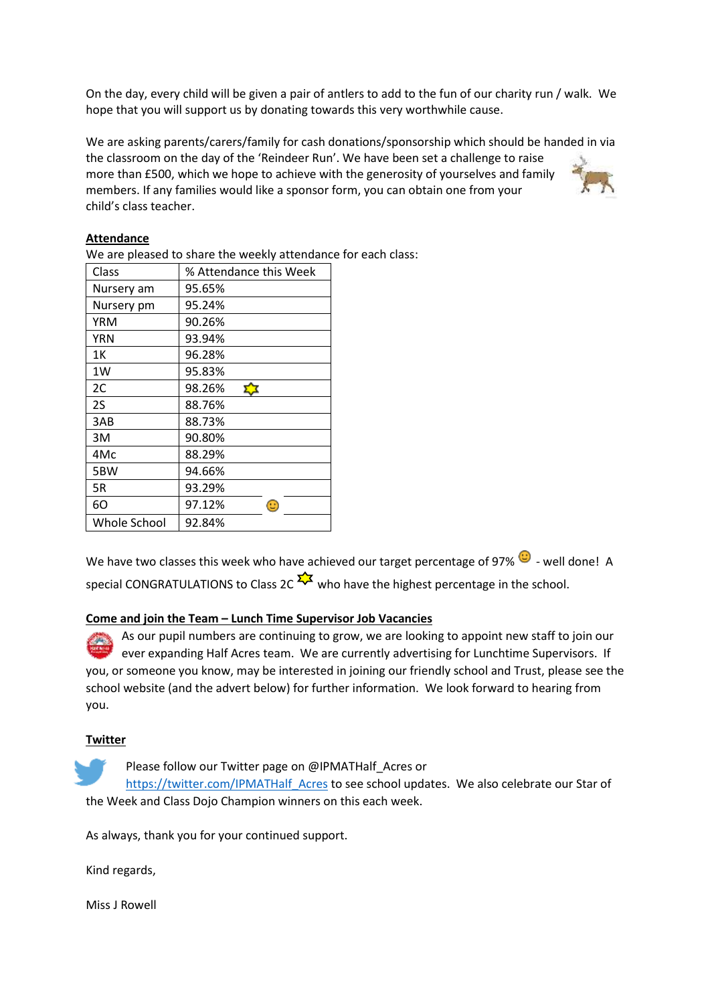On the day, every child will be given a pair of antlers to add to the fun of our charity run / walk. We hope that you will support us by donating towards this very worthwhile cause.

We are asking parents/carers/family for cash donations/sponsorship which should be handed in via the classroom on the day of the 'Reindeer Run'. We have been set a challenge to raise more than £500, which we hope to achieve with the generosity of yourselves and family members. If any families would like a sponsor form, you can obtain one from your child's class teacher.

#### **Attendance**

We are pleased to share the weekly attendance for each class:

| Class        | % Attendance this Week |
|--------------|------------------------|
| Nursery am   | 95.65%                 |
| Nursery pm   | 95.24%                 |
| YRM          | 90.26%                 |
| YRN          | 93.94%                 |
| 1Κ           | 96.28%                 |
| 1W           | 95.83%                 |
| 2C           | 98.26%                 |
| 2S           | 88.76%                 |
| 3AB          | 88.73%                 |
| 3M           | 90.80%                 |
| 4Mc          | 88.29%                 |
| 5BW          | 94.66%                 |
| 5R           | 93.29%                 |
| 60           | 97.12%<br>е            |
| Whole School | 92.84%                 |

We have two classes this week who have achieved our target percentage of 97%  $\bigcirc$  - well done! A special CONGRATULATIONS to Class 2C  $\frac{1}{2}$  who have the highest percentage in the school.

#### **Come and join the Team – Lunch Time Supervisor Job Vacancies**

As our pupil numbers are continuing to grow, we are looking to appoint new staff to join our ever expanding Half Acres team. We are currently advertising for Lunchtime Supervisors. If you, or someone you know, may be interested in joining our friendly school and Trust, please see the school website (and the advert below) for further information. We look forward to hearing from you.

#### **Twitter**

Please follow our Twitter page on @IPMATHalf Acres or [https://twitter.com/IPMATHalf\\_Acres](https://twitter.com/IPMATHalf_Acres) to see school updates. We also celebrate our Star of the Week and Class Dojo Champion winners on this each week.

As always, thank you for your continued support.

Kind regards,

Miss J Rowell